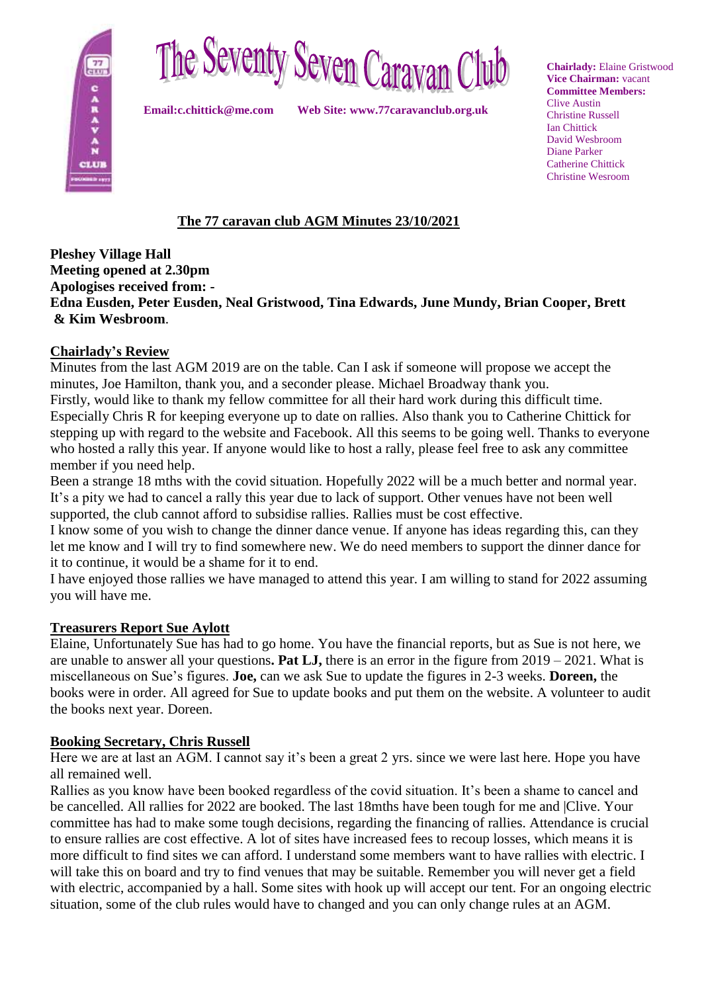



**Email:c.chittick@me.com Web Site: www.77caravanclub.org.uk**

**Chairlady:** Elaine Gristwood **Vice Chairman:** vacant **Committee Members:** Clive Austin Christine Russell Ian Chittick David Wesbroom Diane Parker Catherine Chittick Christine Wesroom

# **The 77 caravan club AGM Minutes 23/10/2021**

#### **Pleshey Village Hall Meeting opened at 2.30pm Apologises received from: - Edna Eusden, Peter Eusden, Neal Gristwood, Tina Edwards, June Mundy, Brian Cooper, Brett & Kim Wesbroom**.

### **Chairlady's Review**

Minutes from the last AGM 2019 are on the table. Can I ask if someone will propose we accept the minutes, Joe Hamilton, thank you, and a seconder please. Michael Broadway thank you.

Firstly, would like to thank my fellow committee for all their hard work during this difficult time. Especially Chris R for keeping everyone up to date on rallies. Also thank you to Catherine Chittick for stepping up with regard to the website and Facebook. All this seems to be going well. Thanks to everyone who hosted a rally this year. If anyone would like to host a rally, please feel free to ask any committee member if you need help.

Been a strange 18 mths with the covid situation. Hopefully 2022 will be a much better and normal year. It's a pity we had to cancel a rally this year due to lack of support. Other venues have not been well supported, the club cannot afford to subsidise rallies. Rallies must be cost effective.

I know some of you wish to change the dinner dance venue. If anyone has ideas regarding this, can they let me know and I will try to find somewhere new. We do need members to support the dinner dance for it to continue, it would be a shame for it to end.

I have enjoyed those rallies we have managed to attend this year. I am willing to stand for 2022 assuming you will have me.

## **Treasurers Report Sue Aylott**

Elaine, Unfortunately Sue has had to go home. You have the financial reports, but as Sue is not here, we are unable to answer all your questions**. Pat LJ,** there is an error in the figure from 2019 – 2021. What is miscellaneous on Sue's figures. **Joe,** can we ask Sue to update the figures in 2-3 weeks. **Doreen,** the books were in order. All agreed for Sue to update books and put them on the website. A volunteer to audit the books next year. Doreen.

#### **Booking Secretary, Chris Russell**

Here we are at last an AGM. I cannot say it's been a great 2 yrs. since we were last here. Hope you have all remained well.

Rallies as you know have been booked regardless of the covid situation. It's been a shame to cancel and be cancelled. All rallies for 2022 are booked. The last 18mths have been tough for me and |Clive. Your committee has had to make some tough decisions, regarding the financing of rallies. Attendance is crucial to ensure rallies are cost effective. A lot of sites have increased fees to recoup losses, which means it is more difficult to find sites we can afford. I understand some members want to have rallies with electric. I will take this on board and try to find venues that may be suitable. Remember you will never get a field with electric, accompanied by a hall. Some sites with hook up will accept our tent. For an ongoing electric situation, some of the club rules would have to changed and you can only change rules at an AGM.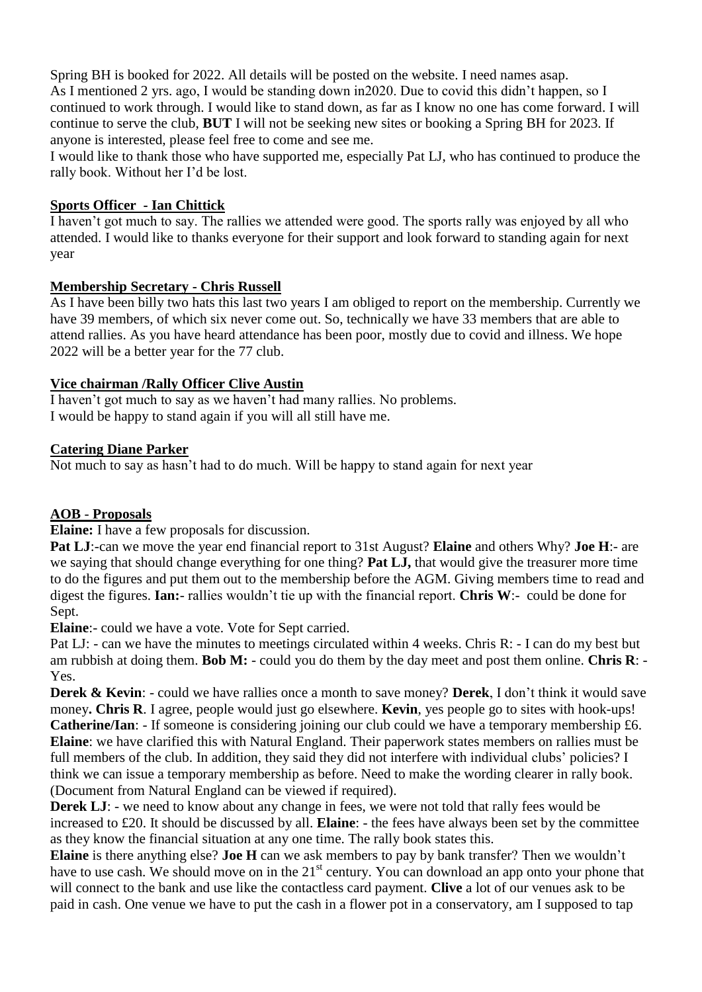Spring BH is booked for 2022. All details will be posted on the website. I need names asap. As I mentioned 2 yrs. ago, I would be standing down in2020. Due to covid this didn't happen, so I continued to work through. I would like to stand down, as far as I know no one has come forward. I will continue to serve the club, **BUT** I will not be seeking new sites or booking a Spring BH for 2023. If anyone is interested, please feel free to come and see me.

I would like to thank those who have supported me, especially Pat LJ, who has continued to produce the rally book. Without her I'd be lost.

#### **Sports Officer - Ian Chittick**

I haven't got much to say. The rallies we attended were good. The sports rally was enjoyed by all who attended. I would like to thanks everyone for their support and look forward to standing again for next year

#### **Membership Secretary - Chris Russell**

As I have been billy two hats this last two years I am obliged to report on the membership. Currently we have 39 members, of which six never come out. So, technically we have 33 members that are able to attend rallies. As you have heard attendance has been poor, mostly due to covid and illness. We hope 2022 will be a better year for the 77 club.

#### **Vice chairman /Rally Officer Clive Austin**

I haven't got much to say as we haven't had many rallies. No problems. I would be happy to stand again if you will all still have me.

### **Catering Diane Parker**

Not much to say as hasn't had to do much. Will be happy to stand again for next year

## **AOB** - **Proposals**

**Elaine:** I have a few proposals for discussion.

**Pat LJ**:-can we move the year end financial report to 31st August? **Elaine** and others Why? **Joe H**:- are we saying that should change everything for one thing? **Pat LJ,** that would give the treasurer more time to do the figures and put them out to the membership before the AGM. Giving members time to read and digest the figures. **Ian:**- rallies wouldn't tie up with the financial report. **Chris W**:- could be done for Sept.

**Elaine**:- could we have a vote. Vote for Sept carried.

Pat LJ: - can we have the minutes to meetings circulated within 4 weeks. Chris R: - I can do my best but am rubbish at doing them. **Bob M:** - could you do them by the day meet and post them online. **Chris R**: - Yes.

**Derek & Kevin**: - could we have rallies once a month to save money? **Derek**, I don't think it would save money**. Chris R**. I agree, people would just go elsewhere. **Kevin**, yes people go to sites with hook-ups! **Catherine/Ian**: - If someone is considering joining our club could we have a temporary membership £6. **Elaine**: we have clarified this with Natural England. Their paperwork states members on rallies must be full members of the club. In addition, they said they did not interfere with individual clubs' policies? I think we can issue a temporary membership as before. Need to make the wording clearer in rally book. (Document from Natural England can be viewed if required).

**Derek LJ:** - we need to know about any change in fees, we were not told that rally fees would be increased to £20. It should be discussed by all. **Elaine**: - the fees have always been set by the committee as they know the financial situation at any one time. The rally book states this.

**Elaine** is there anything else? **Joe H** can we ask members to pay by bank transfer? Then we wouldn't have to use cash. We should move on in the 21<sup>st</sup> century. You can download an app onto your phone that will connect to the bank and use like the contactless card payment. **Clive** a lot of our venues ask to be paid in cash. One venue we have to put the cash in a flower pot in a conservatory, am I supposed to tap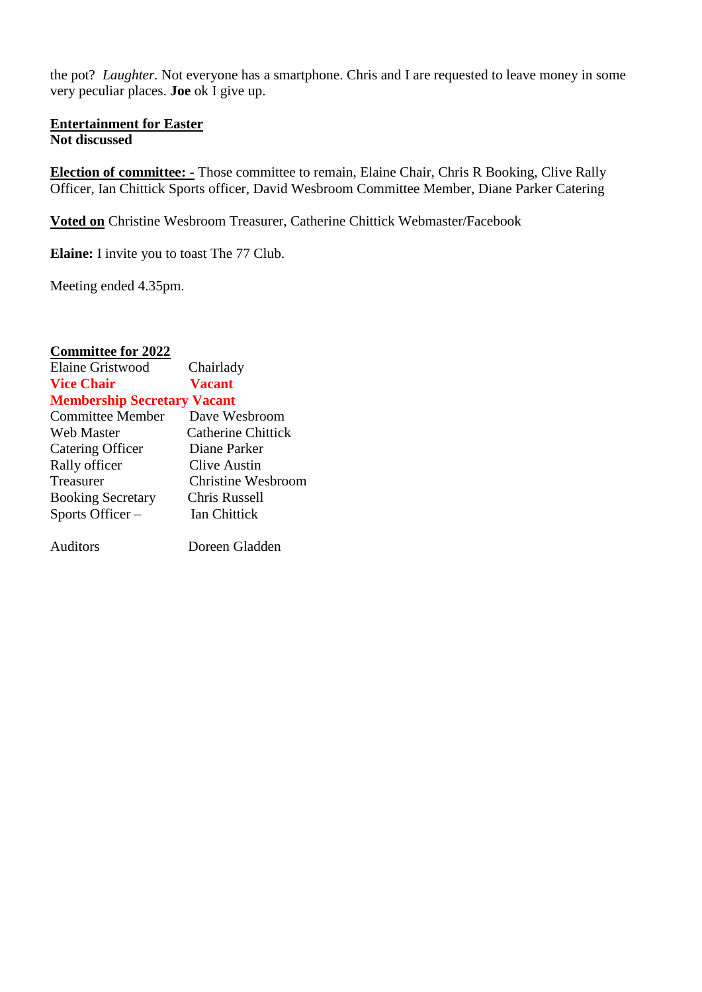the pot? *Laughter.* Not everyone has a smartphone. Chris and I are requested to leave money in some very peculiar places. **Joe** ok I give up.

#### **Entertainment for Easter Not discussed**

**Election of committee: -** Those committee to remain, Elaine Chair, Chris R Booking, Clive Rally Officer, Ian Chittick Sports officer, David Wesbroom Committee Member, Diane Parker Catering

**Voted on** Christine Wesbroom Treasurer, Catherine Chittick Webmaster/Facebook

**Elaine:** I invite you to toast The 77 Club.

Meeting ended 4.35pm.

| <b>Committee for 2022</b>          |                           |
|------------------------------------|---------------------------|
| <b>Elaine Gristwood</b>            | Chairlady                 |
| <b>Vice Chair</b>                  | <b>Vacant</b>             |
| <b>Membership Secretary Vacant</b> |                           |
| <b>Committee Member</b>            | Dave Wesbroom             |
| <b>Web Master</b>                  | <b>Catherine Chittick</b> |
| Catering Officer                   | Diane Parker              |

| Clive Austin              |
|---------------------------|
| <b>Christine Wesbroom</b> |
| Chris Russell             |
| Ian Chittick              |
|                           |

Auditors Doreen Gladden